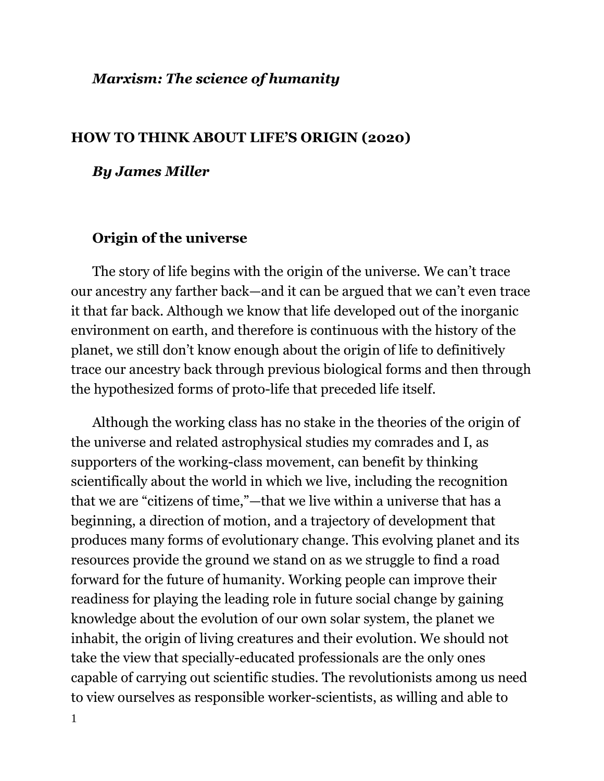### *Marxism: The science of humanity*

#### **HOW TO THINK ABOUT LIFE'S ORIGIN (2020)**

#### *By James Miller*

### **Origin of the universe**

The story of life begins with the origin of the universe. We can't trace our ancestry any farther back—and it can be argued that we can't even trace it that far back. Although we know that life developed out of the inorganic environment on earth, and therefore is continuous with the history of the planet, we still don't know enough about the origin of life to definitively trace our ancestry back through previous biological forms and then through the hypothesized forms of proto-life that preceded life itself.

Although the working class has no stake in the theories of the origin of the universe and related astrophysical studies my comrades and I, as supporters of the working-class movement, can benefit by thinking scientifically about the world in which we live, including the recognition that we are "citizens of time,"—that we live within a universe that has a beginning, a direction of motion, and a trajectory of development that produces many forms of evolutionary change. This evolving planet and its resources provide the ground we stand on as we struggle to find a road forward for the future of humanity. Working people can improve their readiness for playing the leading role in future social change by gaining knowledge about the evolution of our own solar system, the planet we inhabit, the origin of living creatures and their evolution. We should not take the view that specially-educated professionals are the only ones capable of carrying out scientific studies. The revolutionists among us need to view ourselves as responsible worker-scientists, as willing and able to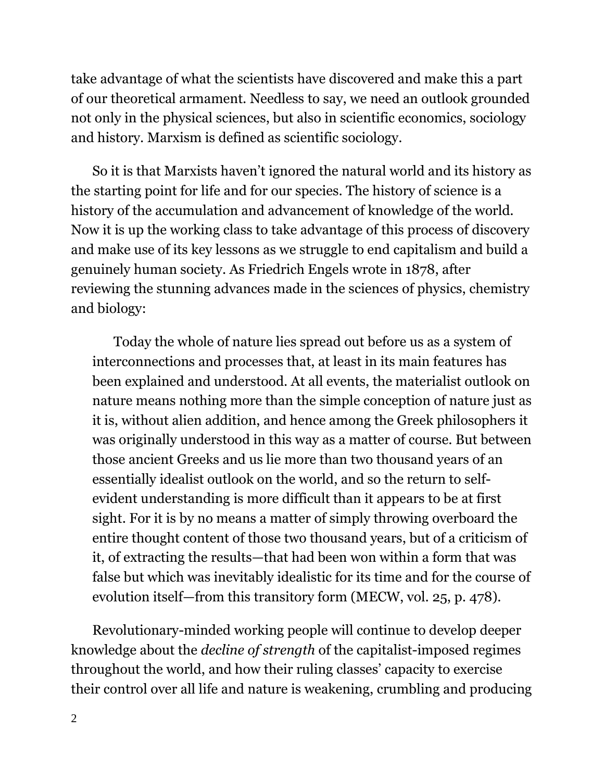take advantage of what the scientists have discovered and make this a part of our theoretical armament. Needless to say, we need an outlook grounded not only in the physical sciences, but also in scientific economics, sociology and history. Marxism is defined as scientific sociology.

So it is that Marxists haven't ignored the natural world and its history as the starting point for life and for our species. The history of science is a history of the accumulation and advancement of knowledge of the world. Now it is up the working class to take advantage of this process of discovery and make use of its key lessons as we struggle to end capitalism and build a genuinely human society. As Friedrich Engels wrote in 1878, after reviewing the stunning advances made in the sciences of physics, chemistry and biology:

Today the whole of nature lies spread out before us as a system of interconnections and processes that, at least in its main features has been explained and understood. At all events, the materialist outlook on nature means nothing more than the simple conception of nature just as it is, without alien addition, and hence among the Greek philosophers it was originally understood in this way as a matter of course. But between those ancient Greeks and us lie more than two thousand years of an essentially idealist outlook on the world, and so the return to selfevident understanding is more difficult than it appears to be at first sight. For it is by no means a matter of simply throwing overboard the entire thought content of those two thousand years, but of a criticism of it, of extracting the results—that had been won within a form that was false but which was inevitably idealistic for its time and for the course of evolution itself—from this transitory form (MECW, vol. 25, p. 478).

Revolutionary-minded working people will continue to develop deeper knowledge about the *decline of strength* of the capitalist-imposed regimes throughout the world, and how their ruling classes' capacity to exercise their control over all life and nature is weakening, crumbling and producing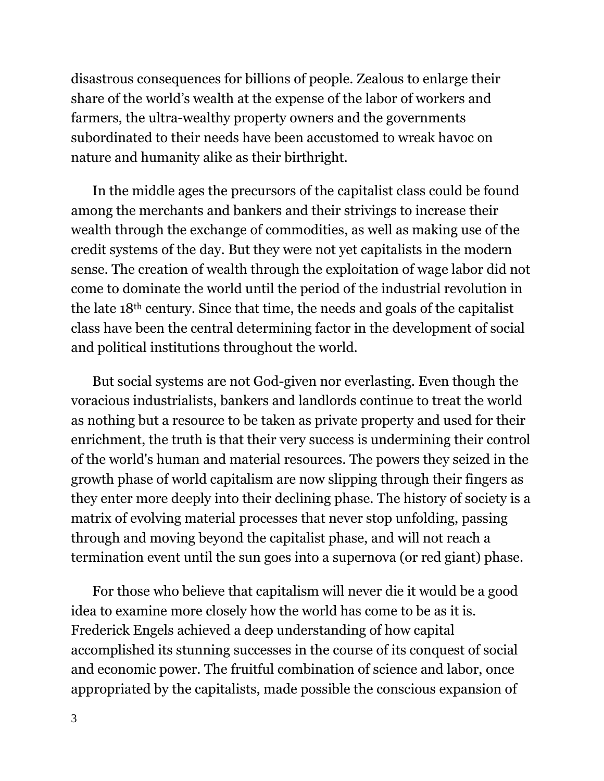disastrous consequences for billions of people. Zealous to enlarge their share of the world's wealth at the expense of the labor of workers and farmers, the ultra-wealthy property owners and the governments subordinated to their needs have been accustomed to wreak havoc on nature and humanity alike as their birthright.

In the middle ages the precursors of the capitalist class could be found among the merchants and bankers and their strivings to increase their wealth through the exchange of commodities, as well as making use of the credit systems of the day. But they were not yet capitalists in the modern sense. The creation of wealth through the exploitation of wage labor did not come to dominate the world until the period of the industrial revolution in the late 18th century. Since that time, the needs and goals of the capitalist class have been the central determining factor in the development of social and political institutions throughout the world.

But social systems are not God-given nor everlasting. Even though the voracious industrialists, bankers and landlords continue to treat the world as nothing but a resource to be taken as private property and used for their enrichment, the truth is that their very success is undermining their control of the world's human and material resources. The powers they seized in the growth phase of world capitalism are now slipping through their fingers as they enter more deeply into their declining phase. The history of society is a matrix of evolving material processes that never stop unfolding, passing through and moving beyond the capitalist phase, and will not reach a termination event until the sun goes into a supernova (or red giant) phase.

For those who believe that capitalism will never die it would be a good idea to examine more closely how the world has come to be as it is. Frederick Engels achieved a deep understanding of how capital accomplished its stunning successes in the course of its conquest of social and economic power. The fruitful combination of science and labor, once appropriated by the capitalists, made possible the conscious expansion of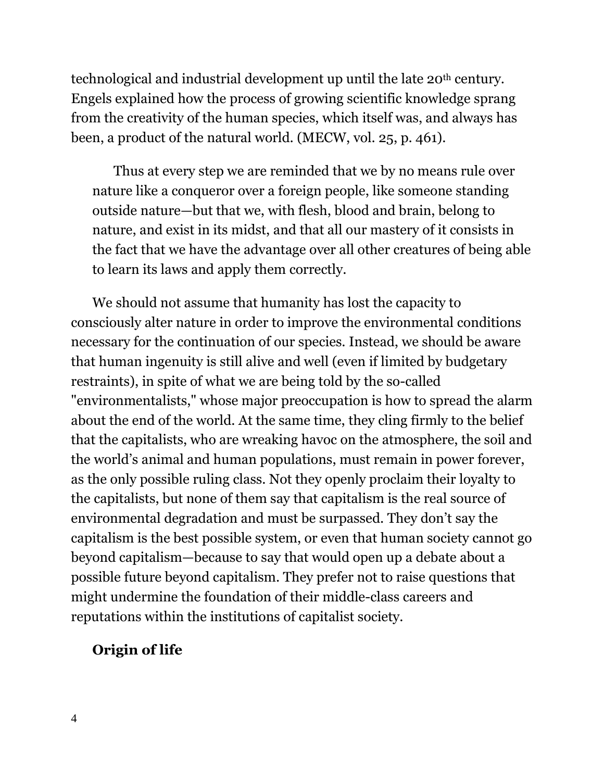technological and industrial development up until the late 20<sup>th</sup> century. Engels explained how the process of growing scientific knowledge sprang from the creativity of the human species, which itself was, and always has been, a product of the natural world. (MECW, vol. 25, p. 461).

Thus at every step we are reminded that we by no means rule over nature like a conqueror over a foreign people, like someone standing outside nature—but that we, with flesh, blood and brain, belong to nature, and exist in its midst, and that all our mastery of it consists in the fact that we have the advantage over all other creatures of being able to learn its laws and apply them correctly.

We should not assume that humanity has lost the capacity to consciously alter nature in order to improve the environmental conditions necessary for the continuation of our species. Instead, we should be aware that human ingenuity is still alive and well (even if limited by budgetary restraints), in spite of what we are being told by the so-called "environmentalists," whose major preoccupation is how to spread the alarm about the end of the world. At the same time, they cling firmly to the belief that the capitalists, who are wreaking havoc on the atmosphere, the soil and the world's animal and human populations, must remain in power forever, as the only possible ruling class. Not they openly proclaim their loyalty to the capitalists, but none of them say that capitalism is the real source of environmental degradation and must be surpassed. They don't say the capitalism is the best possible system, or even that human society cannot go beyond capitalism—because to say that would open up a debate about a possible future beyond capitalism. They prefer not to raise questions that might undermine the foundation of their middle-class careers and reputations within the institutions of capitalist society.

## **Origin of life**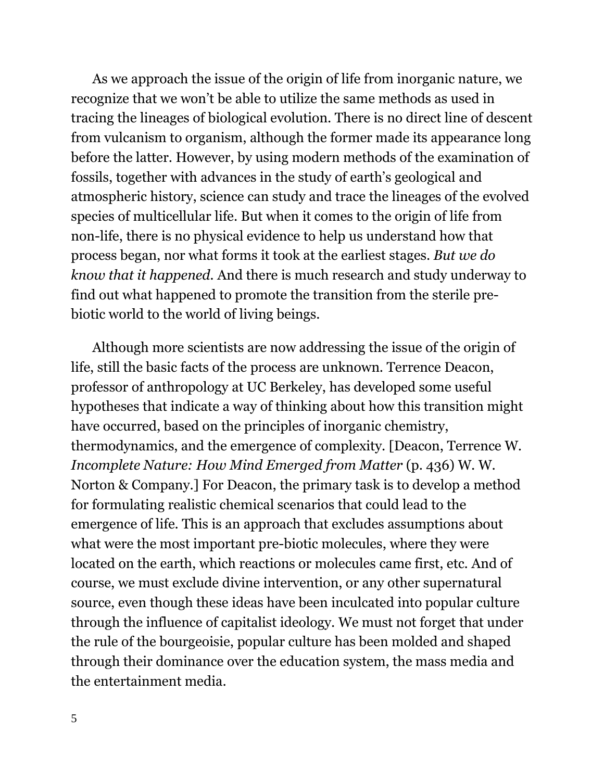As we approach the issue of the origin of life from inorganic nature, we recognize that we won't be able to utilize the same methods as used in tracing the lineages of biological evolution. There is no direct line of descent from vulcanism to organism, although the former made its appearance long before the latter. However, by using modern methods of the examination of fossils, together with advances in the study of earth's geological and atmospheric history, science can study and trace the lineages of the evolved species of multicellular life. But when it comes to the origin of life from non-life, there is no physical evidence to help us understand how that process began, nor what forms it took at the earliest stages. *But we do know that it happened.* And there is much research and study underway to find out what happened to promote the transition from the sterile prebiotic world to the world of living beings.

Although more scientists are now addressing the issue of the origin of life, still the basic facts of the process are unknown. Terrence Deacon, professor of anthropology at UC Berkeley, has developed some useful hypotheses that indicate a way of thinking about how this transition might have occurred, based on the principles of inorganic chemistry, thermodynamics, and the emergence of complexity. [Deacon, Terrence W*. Incomplete Nature: How Mind Emerged from Matter* (p. 436) W. W. Norton & Company.] For Deacon, the primary task is to develop a method for formulating realistic chemical scenarios that could lead to the emergence of life. This is an approach that excludes assumptions about what were the most important pre-biotic molecules, where they were located on the earth, which reactions or molecules came first, etc. And of course, we must exclude divine intervention, or any other supernatural source, even though these ideas have been inculcated into popular culture through the influence of capitalist ideology. We must not forget that under the rule of the bourgeoisie, popular culture has been molded and shaped through their dominance over the education system, the mass media and the entertainment media.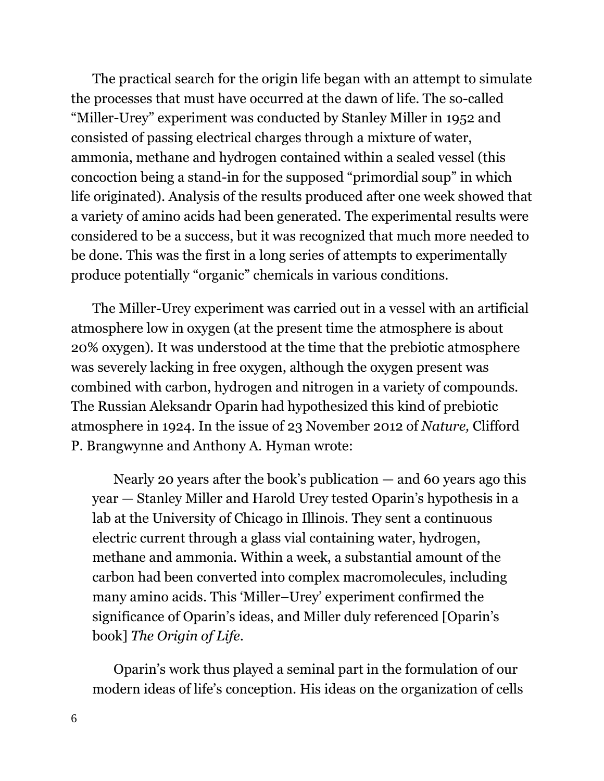The practical search for the origin life began with an attempt to simulate the processes that must have occurred at the dawn of life. The so-called "Miller-Urey" experiment was conducted by Stanley Miller in 1952 and consisted of passing electrical charges through a mixture of water, ammonia, methane and hydrogen contained within a sealed vessel (this concoction being a stand-in for the supposed "primordial soup" in which life originated). Analysis of the results produced after one week showed that a variety of amino acids had been generated. The experimental results were considered to be a success, but it was recognized that much more needed to be done. This was the first in a long series of attempts to experimentally produce potentially "organic" chemicals in various conditions.

The Miller-Urey experiment was carried out in a vessel with an artificial atmosphere low in oxygen (at the present time the atmosphere is about 20% oxygen). It was understood at the time that the prebiotic atmosphere was severely lacking in free oxygen, although the oxygen present was combined with carbon, hydrogen and nitrogen in a variety of compounds. The Russian Aleksandr Oparin had hypothesized this kind of prebiotic atmosphere in 1924. In the issue of 23 November 2012 of *Nature,* Clifford P. Brangwynne and Anthony A. Hyman wrote:

Nearly 20 years after the book's publication  $-$  and 60 years ago this year — Stanley Miller and Harold Urey tested Oparin's hypothesis in a lab at the University of Chicago in Illinois. They sent a continuous electric current through a glass vial containing water, hydrogen, methane and ammonia. Within a week, a substantial amount of the carbon had been converted into complex macromolecules, including many amino acids. This 'Miller–Urey' experiment confirmed the significance of Oparin's ideas, and Miller duly referenced [Oparin's book] *The Origin of Life*.

Oparin's work thus played a seminal part in the formulation of our modern ideas of life's conception. His ideas on the organization of cells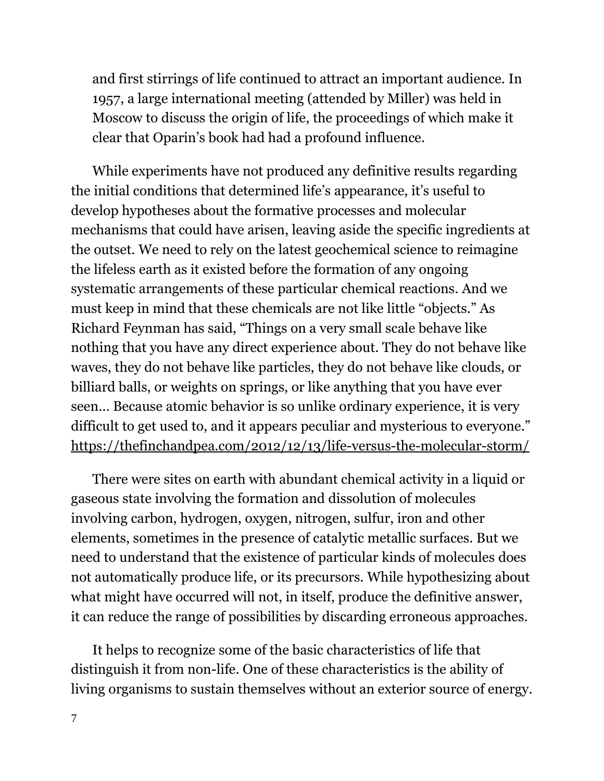and first stirrings of life continued to attract an important audience. In 1957, a large international meeting (attended by Miller) was held in Moscow to discuss the origin of life, the proceedings of which make it clear that Oparin's book had had a profound influence.

While experiments have not produced any definitive results regarding the initial conditions that determined life's appearance, it's useful to develop hypotheses about the formative processes and molecular mechanisms that could have arisen, leaving aside the specific ingredients at the outset. We need to rely on the latest geochemical science to reimagine the lifeless earth as it existed before the formation of any ongoing systematic arrangements of these particular chemical reactions. And we must keep in mind that these chemicals are not like little "objects." As Richard Feynman has said, "Things on a very small scale behave like nothing that you have any direct experience about. They do not behave like waves, they do not behave like particles, they do not behave like clouds, or billiard balls, or weights on springs, or like anything that you have ever seen… Because atomic behavior is so unlike ordinary experience, it is very difficult to get used to, and it appears peculiar and mysterious to everyone." <https://thefinchandpea.com/2012/12/13/life-versus-the-molecular-storm/>

There were sites on earth with abundant chemical activity in a liquid or gaseous state involving the formation and dissolution of molecules involving carbon, hydrogen, oxygen, nitrogen, sulfur, iron and other elements, sometimes in the presence of catalytic metallic surfaces. But we need to understand that the existence of particular kinds of molecules does not automatically produce life, or its precursors. While hypothesizing about what might have occurred will not, in itself, produce the definitive answer, it can reduce the range of possibilities by discarding erroneous approaches.

It helps to recognize some of the basic characteristics of life that distinguish it from non-life. One of these characteristics is the ability of living organisms to sustain themselves without an exterior source of energy.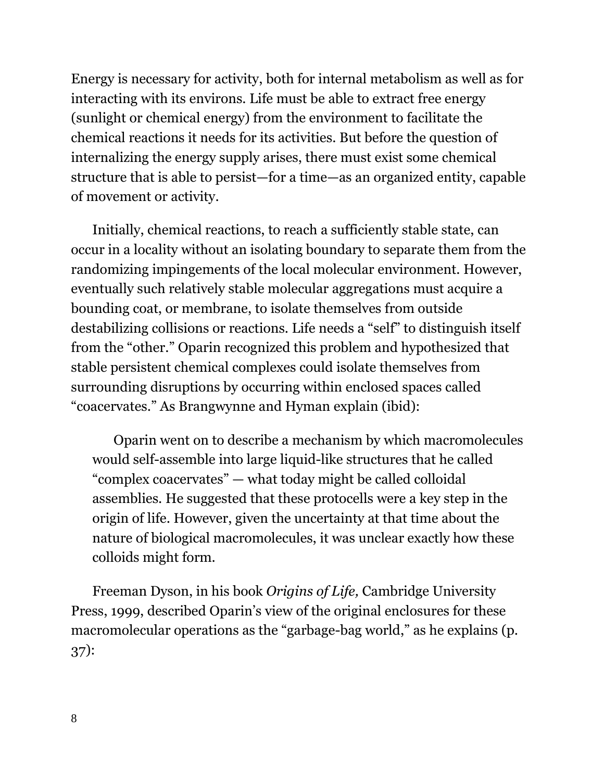Energy is necessary for activity, both for internal metabolism as well as for interacting with its environs. Life must be able to extract free energy (sunlight or chemical energy) from the environment to facilitate the chemical reactions it needs for its activities. But before the question of internalizing the energy supply arises, there must exist some chemical structure that is able to persist—for a time—as an organized entity, capable of movement or activity.

Initially, chemical reactions, to reach a sufficiently stable state, can occur in a locality without an isolating boundary to separate them from the randomizing impingements of the local molecular environment. However, eventually such relatively stable molecular aggregations must acquire a bounding coat, or membrane, to isolate themselves from outside destabilizing collisions or reactions. Life needs a "self" to distinguish itself from the "other." Oparin recognized this problem and hypothesized that stable persistent chemical complexes could isolate themselves from surrounding disruptions by occurring within enclosed spaces called "coacervates." As Brangwynne and Hyman explain (ibid):

Oparin went on to describe a mechanism by which macromolecules would self-assemble into large liquid-like structures that he called "complex coacervates" — what today might be called colloidal assemblies. He suggested that these protocells were a key step in the origin of life. However, given the uncertainty at that time about the nature of biological macromolecules, it was unclear exactly how these colloids might form.

Freeman Dyson, in his book *Origins of Life,* Cambridge University Press, 1999, described Oparin's view of the original enclosures for these macromolecular operations as the "garbage-bag world," as he explains (p. 37):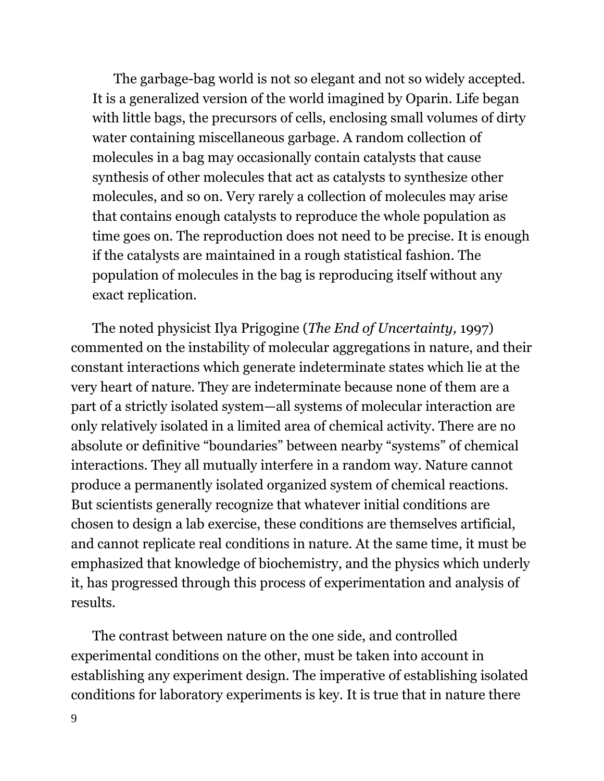The garbage-bag world is not so elegant and not so widely accepted. It is a generalized version of the world imagined by Oparin. Life began with little bags, the precursors of cells, enclosing small volumes of dirty water containing miscellaneous garbage. A random collection of molecules in a bag may occasionally contain catalysts that cause synthesis of other molecules that act as catalysts to synthesize other molecules, and so on. Very rarely a collection of molecules may arise that contains enough catalysts to reproduce the whole population as time goes on. The reproduction does not need to be precise. It is enough if the catalysts are maintained in a rough statistical fashion. The population of molecules in the bag is reproducing itself without any exact replication.

The noted physicist Ilya Prigogine (*The End of Uncertainty,* 1997) commented on the instability of molecular aggregations in nature, and their constant interactions which generate indeterminate states which lie at the very heart of nature. They are indeterminate because none of them are a part of a strictly isolated system—all systems of molecular interaction are only relatively isolated in a limited area of chemical activity. There are no absolute or definitive "boundaries" between nearby "systems" of chemical interactions. They all mutually interfere in a random way. Nature cannot produce a permanently isolated organized system of chemical reactions. But scientists generally recognize that whatever initial conditions are chosen to design a lab exercise, these conditions are themselves artificial, and cannot replicate real conditions in nature. At the same time, it must be emphasized that knowledge of biochemistry, and the physics which underly it, has progressed through this process of experimentation and analysis of results.

The contrast between nature on the one side, and controlled experimental conditions on the other, must be taken into account in establishing any experiment design. The imperative of establishing isolated conditions for laboratory experiments is key. It is true that in nature there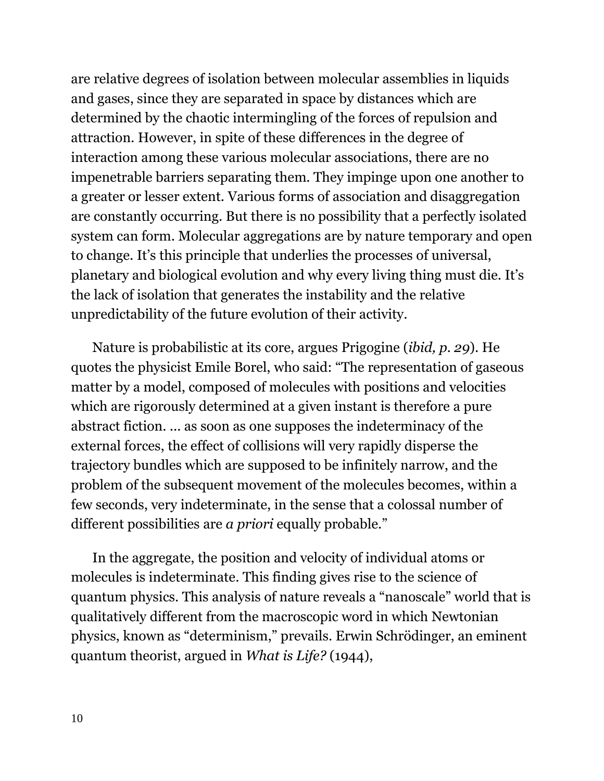are relative degrees of isolation between molecular assemblies in liquids and gases, since they are separated in space by distances which are determined by the chaotic intermingling of the forces of repulsion and attraction. However, in spite of these differences in the degree of interaction among these various molecular associations, there are no impenetrable barriers separating them. They impinge upon one another to a greater or lesser extent. Various forms of association and disaggregation are constantly occurring. But there is no possibility that a perfectly isolated system can form. Molecular aggregations are by nature temporary and open to change. It's this principle that underlies the processes of universal, planetary and biological evolution and why every living thing must die. It's the lack of isolation that generates the instability and the relative unpredictability of the future evolution of their activity.

Nature is probabilistic at its core, argues Prigogine (*ibid, p. 29*). He quotes the physicist Emile Borel, who said: "The representation of gaseous matter by a model, composed of molecules with positions and velocities which are rigorously determined at a given instant is therefore a pure abstract fiction. ... as soon as one supposes the indeterminacy of the external forces, the effect of collisions will very rapidly disperse the trajectory bundles which are supposed to be infinitely narrow, and the problem of the subsequent movement of the molecules becomes, within a few seconds, very indeterminate, in the sense that a colossal number of different possibilities are *a priori* equally probable."

In the aggregate, the position and velocity of individual atoms or molecules is indeterminate. This finding gives rise to the science of quantum physics. This analysis of nature reveals a "nanoscale" world that is qualitatively different from the macroscopic word in which Newtonian physics, known as "determinism," prevails. Erwin Schrödinger, an eminent quantum theorist, argued in *What is Life?* (1944),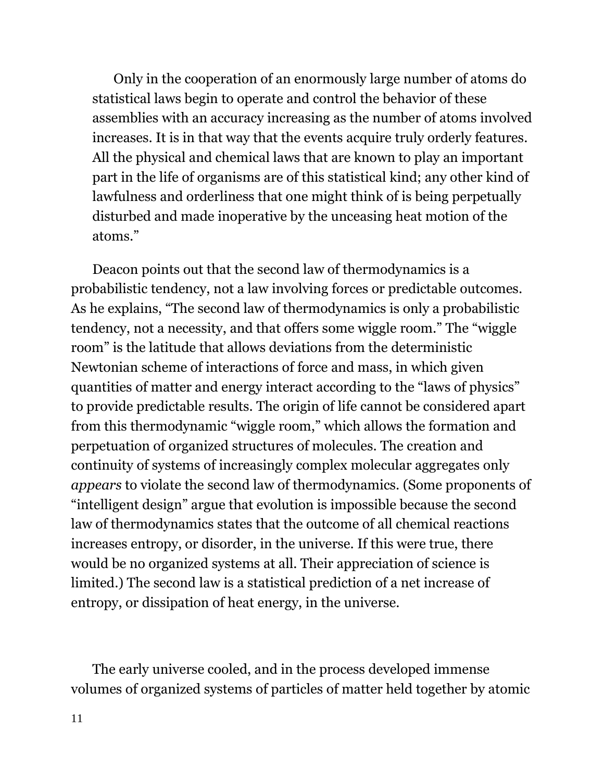Only in the cooperation of an enormously large number of atoms do statistical laws begin to operate and control the behavior of these assemblies with an accuracy increasing as the number of atoms involved increases. It is in that way that the events acquire truly orderly features. All the physical and chemical laws that are known to play an important part in the life of organisms are of this statistical kind; any other kind of lawfulness and orderliness that one might think of is being perpetually disturbed and made inoperative by the unceasing heat motion of the atoms."

Deacon points out that the second law of thermodynamics is a probabilistic tendency, not a law involving forces or predictable outcomes. As he explains, "The second law of thermodynamics is only a probabilistic tendency, not a necessity, and that offers some wiggle room." The "wiggle room" is the latitude that allows deviations from the deterministic Newtonian scheme of interactions of force and mass, in which given quantities of matter and energy interact according to the "laws of physics" to provide predictable results. The origin of life cannot be considered apart from this thermodynamic "wiggle room," which allows the formation and perpetuation of organized structures of molecules. The creation and continuity of systems of increasingly complex molecular aggregates only *appears* to violate the second law of thermodynamics. (Some proponents of "intelligent design" argue that evolution is impossible because the second law of thermodynamics states that the outcome of all chemical reactions increases entropy, or disorder, in the universe. If this were true, there would be no organized systems at all. Their appreciation of science is limited.) The second law is a statistical prediction of a net increase of entropy, or dissipation of heat energy, in the universe.

The early universe cooled, and in the process developed immense volumes of organized systems of particles of matter held together by atomic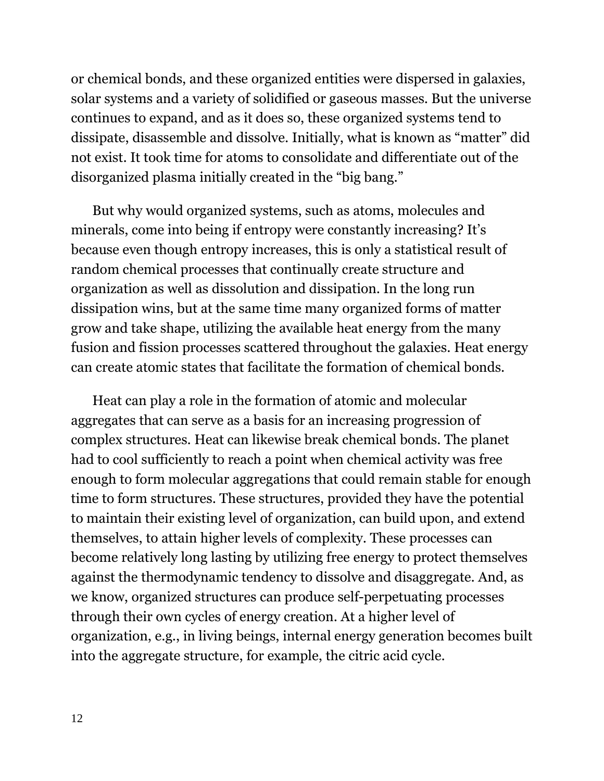or chemical bonds, and these organized entities were dispersed in galaxies, solar systems and a variety of solidified or gaseous masses. But the universe continues to expand, and as it does so, these organized systems tend to dissipate, disassemble and dissolve. Initially, what is known as "matter" did not exist. It took time for atoms to consolidate and differentiate out of the disorganized plasma initially created in the "big bang."

But why would organized systems, such as atoms, molecules and minerals, come into being if entropy were constantly increasing? It's because even though entropy increases, this is only a statistical result of random chemical processes that continually create structure and organization as well as dissolution and dissipation. In the long run dissipation wins, but at the same time many organized forms of matter grow and take shape, utilizing the available heat energy from the many fusion and fission processes scattered throughout the galaxies. Heat energy can create atomic states that facilitate the formation of chemical bonds.

Heat can play a role in the formation of atomic and molecular aggregates that can serve as a basis for an increasing progression of complex structures. Heat can likewise break chemical bonds. The planet had to cool sufficiently to reach a point when chemical activity was free enough to form molecular aggregations that could remain stable for enough time to form structures. These structures, provided they have the potential to maintain their existing level of organization, can build upon, and extend themselves, to attain higher levels of complexity. These processes can become relatively long lasting by utilizing free energy to protect themselves against the thermodynamic tendency to dissolve and disaggregate. And, as we know, organized structures can produce self-perpetuating processes through their own cycles of energy creation. At a higher level of organization, e.g., in living beings, internal energy generation becomes built into the aggregate structure, for example, the citric acid cycle.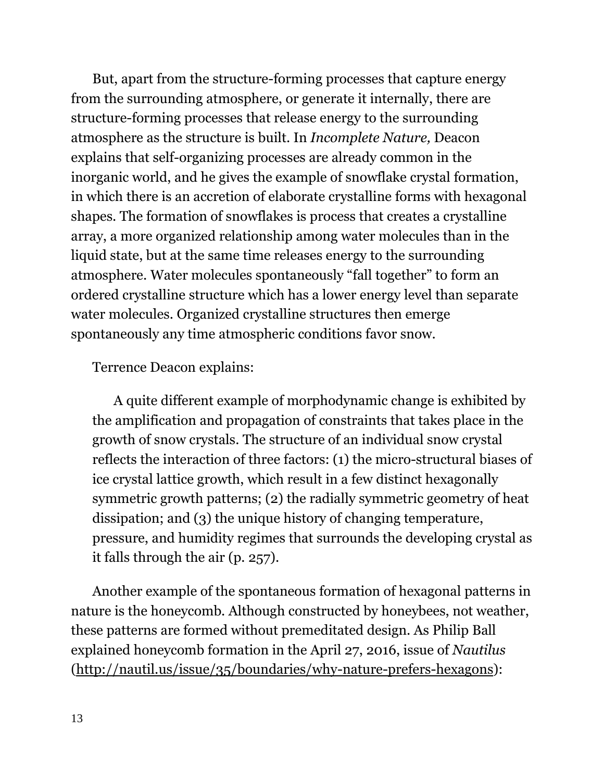But, apart from the structure-forming processes that capture energy from the surrounding atmosphere, or generate it internally, there are structure-forming processes that release energy to the surrounding atmosphere as the structure is built. In *Incomplete Nature,* Deacon explains that self-organizing processes are already common in the inorganic world, and he gives the example of snowflake crystal formation, in which there is an accretion of elaborate crystalline forms with hexagonal shapes. The formation of snowflakes is process that creates a crystalline array, a more organized relationship among water molecules than in the liquid state, but at the same time releases energy to the surrounding atmosphere. Water molecules spontaneously "fall together" to form an ordered crystalline structure which has a lower energy level than separate water molecules. Organized crystalline structures then emerge spontaneously any time atmospheric conditions favor snow.

### Terrence Deacon explains:

A quite different example of morphodynamic change is exhibited by the amplification and propagation of constraints that takes place in the growth of snow crystals. The structure of an individual snow crystal reflects the interaction of three factors: (1) the micro-structural biases of ice crystal lattice growth, which result in a few distinct hexagonally symmetric growth patterns; (2) the radially symmetric geometry of heat dissipation; and (3) the unique history of changing temperature, pressure, and humidity regimes that surrounds the developing crystal as it falls through the air (p. 257).

Another example of the spontaneous formation of hexagonal patterns in nature is the honeycomb. Although constructed by honeybees, not weather, these patterns are formed without premeditated design. As Philip Ball explained honeycomb formation in the April 27, 2016, issue of *Nautilus* [\(http://nautil.us/issue/35/boundaries/why-nature-prefers-hexagons\)](http://nautil.us/issue/35/boundaries/why-nature-prefers-hexagons):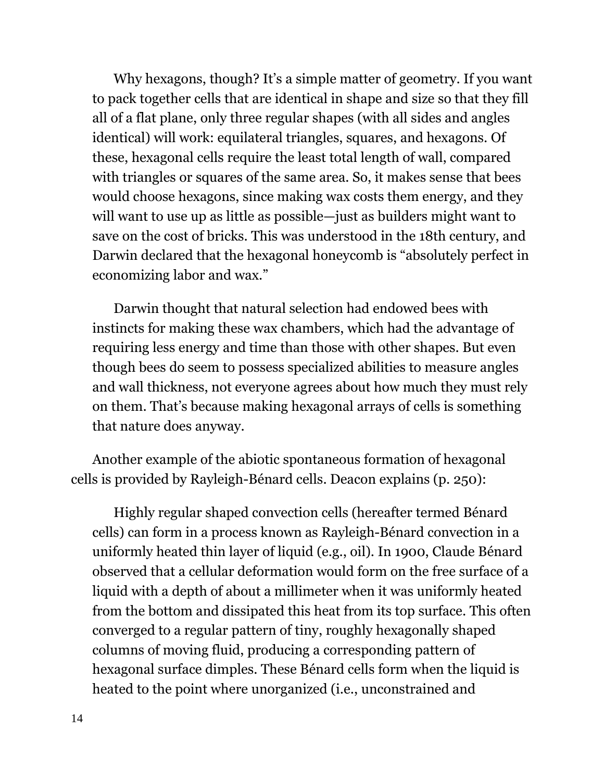Why hexagons, though? It's a simple matter of geometry. If you want to pack together cells that are identical in shape and size so that they fill all of a flat plane, only three regular shapes (with all sides and angles identical) will work: equilateral triangles, squares, and hexagons. Of these, hexagonal cells require the least total length of wall, compared with triangles or squares of the same area. So, it makes sense that bees would choose hexagons, since making wax costs them energy, and they will want to use up as little as possible—just as builders might want to save on the cost of bricks. This was understood in the 18th century, and Darwin declared that the hexagonal honeycomb is "absolutely perfect in economizing labor and wax."

Darwin thought that natural selection had endowed bees with instincts for making these wax chambers, which had the advantage of requiring less energy and time than those with other shapes. But even though bees do seem to possess specialized abilities to measure angles and wall thickness, not everyone agrees about how much they must rely on them. That's because making hexagonal arrays of cells is something that nature does anyway.

Another example of the abiotic spontaneous formation of hexagonal cells is provided by Rayleigh-Bénard cells. Deacon explains (p. 250):

Highly regular shaped convection cells (hereafter termed Bénard cells) can form in a process known as Rayleigh-Bénard convection in a uniformly heated thin layer of liquid (e.g., oil). In 1900, Claude Bénard observed that a cellular deformation would form on the free surface of a liquid with a depth of about a millimeter when it was uniformly heated from the bottom and dissipated this heat from its top surface. This often converged to a regular pattern of tiny, roughly hexagonally shaped columns of moving fluid, producing a corresponding pattern of hexagonal surface dimples. These Bénard cells form when the liquid is heated to the point where unorganized (i.e., unconstrained and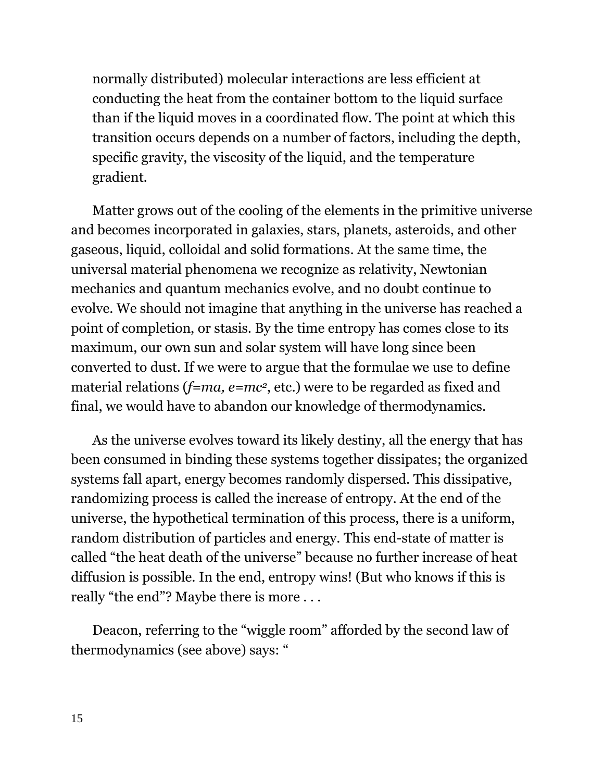normally distributed) molecular interactions are less efficient at conducting the heat from the container bottom to the liquid surface than if the liquid moves in a coordinated flow. The point at which this transition occurs depends on a number of factors, including the depth, specific gravity, the viscosity of the liquid, and the temperature gradient.

Matter grows out of the cooling of the elements in the primitive universe and becomes incorporated in galaxies, stars, planets, asteroids, and other gaseous, liquid, colloidal and solid formations. At the same time, the universal material phenomena we recognize as relativity, Newtonian mechanics and quantum mechanics evolve, and no doubt continue to evolve. We should not imagine that anything in the universe has reached a point of completion, or stasis. By the time entropy has comes close to its maximum, our own sun and solar system will have long since been converted to dust. If we were to argue that the formulae we use to define material relations ( $f=ma$ ,  $e=mc^2$ , etc.) were to be regarded as fixed and final, we would have to abandon our knowledge of thermodynamics.

As the universe evolves toward its likely destiny, all the energy that has been consumed in binding these systems together dissipates; the organized systems fall apart, energy becomes randomly dispersed. This dissipative, randomizing process is called the increase of entropy. At the end of the universe, the hypothetical termination of this process, there is a uniform, random distribution of particles and energy. This end-state of matter is called "the heat death of the universe" because no further increase of heat diffusion is possible. In the end, entropy wins! (But who knows if this is really "the end"? Maybe there is more . . .

Deacon, referring to the "wiggle room" afforded by the second law of thermodynamics (see above) says: "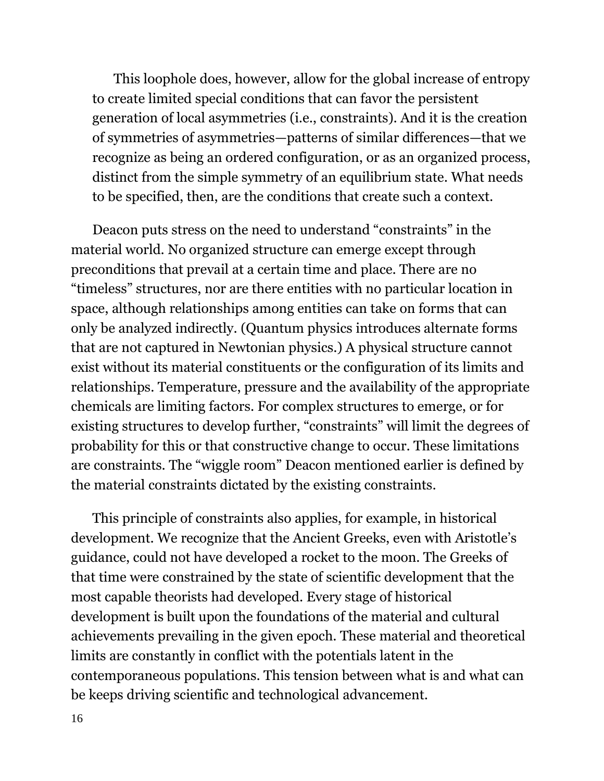This loophole does, however, allow for the global increase of entropy to create limited special conditions that can favor the persistent generation of local asymmetries (i.e., constraints). And it is the creation of symmetries of asymmetries—patterns of similar differences—that we recognize as being an ordered configuration, or as an organized process, distinct from the simple symmetry of an equilibrium state. What needs to be specified, then, are the conditions that create such a context.

Deacon puts stress on the need to understand "constraints" in the material world. No organized structure can emerge except through preconditions that prevail at a certain time and place. There are no "timeless" structures, nor are there entities with no particular location in space, although relationships among entities can take on forms that can only be analyzed indirectly. (Quantum physics introduces alternate forms that are not captured in Newtonian physics.) A physical structure cannot exist without its material constituents or the configuration of its limits and relationships. Temperature, pressure and the availability of the appropriate chemicals are limiting factors. For complex structures to emerge, or for existing structures to develop further, "constraints" will limit the degrees of probability for this or that constructive change to occur. These limitations are constraints. The "wiggle room" Deacon mentioned earlier is defined by the material constraints dictated by the existing constraints.

This principle of constraints also applies, for example, in historical development. We recognize that the Ancient Greeks, even with Aristotle's guidance, could not have developed a rocket to the moon. The Greeks of that time were constrained by the state of scientific development that the most capable theorists had developed. Every stage of historical development is built upon the foundations of the material and cultural achievements prevailing in the given epoch. These material and theoretical limits are constantly in conflict with the potentials latent in the contemporaneous populations. This tension between what is and what can be keeps driving scientific and technological advancement.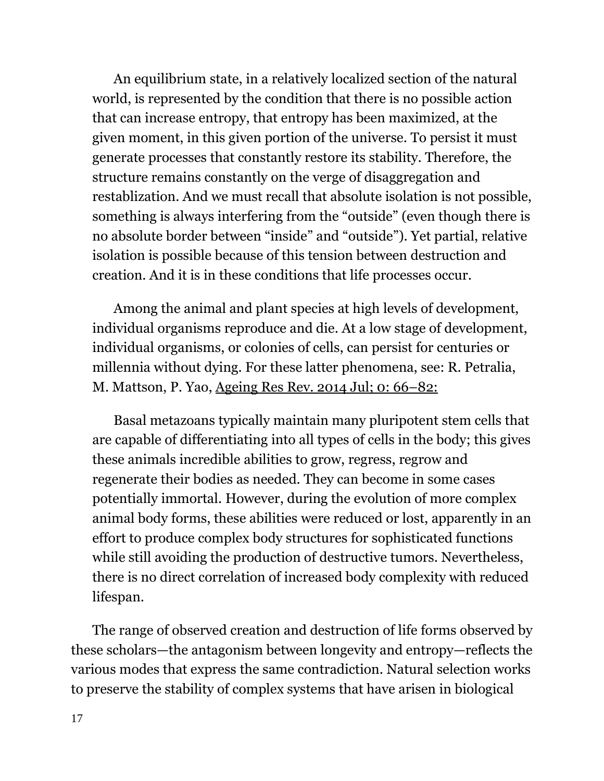An equilibrium state, in a relatively localized section of the natural world, is represented by the condition that there is no possible action that can increase entropy, that entropy has been maximized, at the given moment, in this given portion of the universe. To persist it must generate processes that constantly restore its stability. Therefore, the structure remains constantly on the verge of disaggregation and restablization. And we must recall that absolute isolation is not possible, something is always interfering from the "outside" (even though there is no absolute border between "inside" and "outside"). Yet partial, relative isolation is possible because of this tension between destruction and creation. And it is in these conditions that life processes occur.

Among the animal and plant species at high levels of development, individual organisms reproduce and die. At a low stage of development, individual organisms, or colonies of cells, can persist for centuries or millennia without dying. For these latter phenomena, see: R. Petralia, M. Mattson, P. Yao, [Ageing](https://www.ncbi.nlm.nih.gov/entrez/eutils/elink.fcgi?dbfrom=pubmed&retmode=ref&cmd=prlinks&id=24910306) Res Rev. 2014 Jul; 0: 66–82:

Basal metazoans typically maintain many pluripotent stem cells that are capable of differentiating into all types of cells in the body; this gives these animals incredible abilities to grow, regress, regrow and regenerate their bodies as needed. They can become in some cases potentially immortal. However, during the evolution of more complex animal body forms, these abilities were reduced or lost, apparently in an effort to produce complex body structures for sophisticated functions while still avoiding the production of destructive tumors. Nevertheless, there is no direct correlation of increased body complexity with reduced lifespan.

The range of observed creation and destruction of life forms observed by these scholars—the antagonism between longevity and entropy—reflects the various modes that express the same contradiction. Natural selection works to preserve the stability of complex systems that have arisen in biological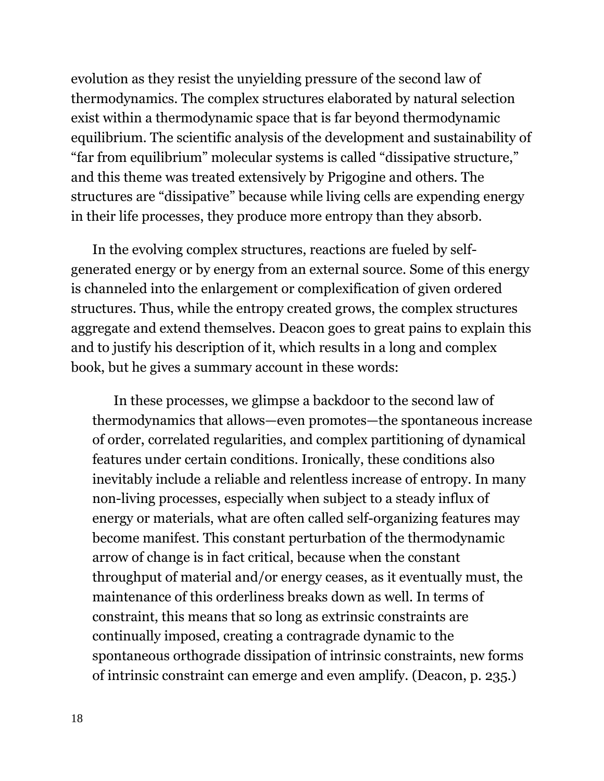evolution as they resist the unyielding pressure of the second law of thermodynamics. The complex structures elaborated by natural selection exist within a thermodynamic space that is far beyond thermodynamic equilibrium. The scientific analysis of the development and sustainability of "far from equilibrium" molecular systems is called "dissipative structure," and this theme was treated extensively by Prigogine and others. The structures are "dissipative" because while living cells are expending energy in their life processes, they produce more entropy than they absorb.

In the evolving complex structures, reactions are fueled by selfgenerated energy or by energy from an external source. Some of this energy is channeled into the enlargement or complexification of given ordered structures. Thus, while the entropy created grows, the complex structures aggregate and extend themselves. Deacon goes to great pains to explain this and to justify his description of it, which results in a long and complex book, but he gives a summary account in these words:

In these processes, we glimpse a backdoor to the second law of thermodynamics that allows—even promotes—the spontaneous increase of order, correlated regularities, and complex partitioning of dynamical features under certain conditions. Ironically, these conditions also inevitably include a reliable and relentless increase of entropy. In many non-living processes, especially when subject to a steady influx of energy or materials, what are often called self-organizing features may become manifest. This constant perturbation of the thermodynamic arrow of change is in fact critical, because when the constant throughput of material and/or energy ceases, as it eventually must, the maintenance of this orderliness breaks down as well. In terms of constraint, this means that so long as extrinsic constraints are continually imposed, creating a contragrade dynamic to the spontaneous orthograde dissipation of intrinsic constraints, new forms of intrinsic constraint can emerge and even amplify. (Deacon, p. 235.)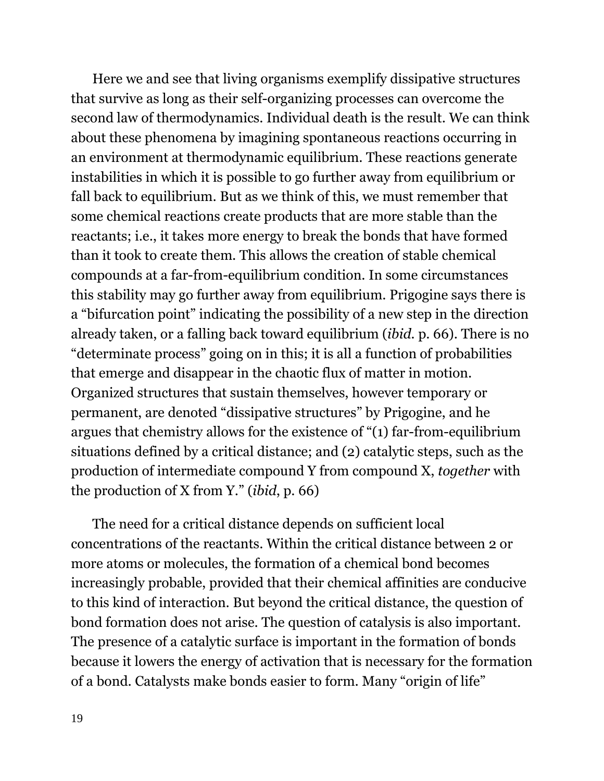Here we and see that living organisms exemplify dissipative structures that survive as long as their self-organizing processes can overcome the second law of thermodynamics. Individual death is the result. We can think about these phenomena by imagining spontaneous reactions occurring in an environment at thermodynamic equilibrium. These reactions generate instabilities in which it is possible to go further away from equilibrium or fall back to equilibrium. But as we think of this, we must remember that some chemical reactions create products that are more stable than the reactants; i.e., it takes more energy to break the bonds that have formed than it took to create them. This allows the creation of stable chemical compounds at a far-from-equilibrium condition. In some circumstances this stability may go further away from equilibrium. Prigogine says there is a "bifurcation point" indicating the possibility of a new step in the direction already taken, or a falling back toward equilibrium (*ibid.* p. 66). There is no "determinate process" going on in this; it is all a function of probabilities that emerge and disappear in the chaotic flux of matter in motion. Organized structures that sustain themselves, however temporary or permanent, are denoted "dissipative structures" by Prigogine, and he argues that chemistry allows for the existence of "(1) far-from-equilibrium situations defined by a critical distance; and (2) catalytic steps, such as the production of intermediate compound Y from compound X, *together* with the production of X from Y." (*ibid*, p. 66)

The need for a critical distance depends on sufficient local concentrations of the reactants. Within the critical distance between 2 or more atoms or molecules, the formation of a chemical bond becomes increasingly probable, provided that their chemical affinities are conducive to this kind of interaction. But beyond the critical distance, the question of bond formation does not arise. The question of catalysis is also important. The presence of a catalytic surface is important in the formation of bonds because it lowers the energy of activation that is necessary for the formation of a bond. Catalysts make bonds easier to form. Many "origin of life"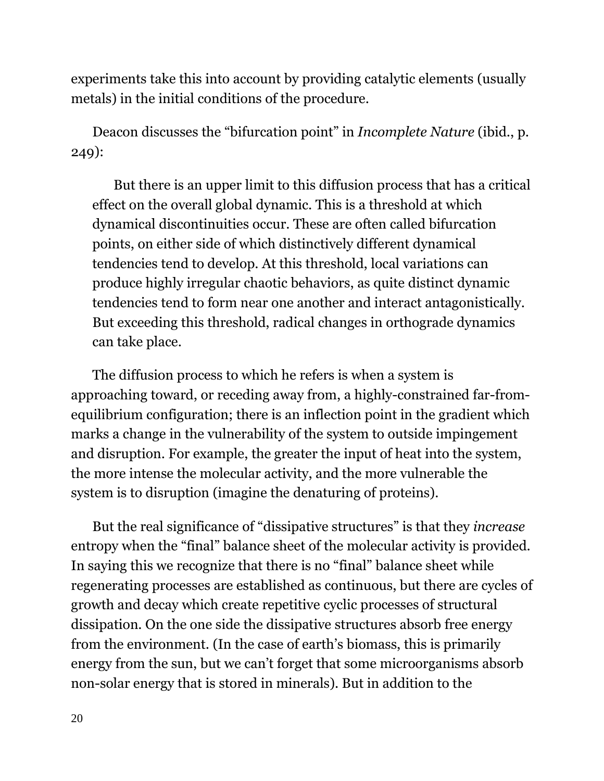experiments take this into account by providing catalytic elements (usually metals) in the initial conditions of the procedure.

Deacon discusses the "bifurcation point" in *Incomplete Nature* (ibid., p. 249):

But there is an upper limit to this diffusion process that has a critical effect on the overall global dynamic. This is a threshold at which dynamical discontinuities occur. These are often called bifurcation points, on either side of which distinctively different dynamical tendencies tend to develop. At this threshold, local variations can produce highly irregular chaotic behaviors, as quite distinct dynamic tendencies tend to form near one another and interact antagonistically. But exceeding this threshold, radical changes in orthograde dynamics can take place.

The diffusion process to which he refers is when a system is approaching toward, or receding away from, a highly-constrained far-fromequilibrium configuration; there is an inflection point in the gradient which marks a change in the vulnerability of the system to outside impingement and disruption. For example, the greater the input of heat into the system, the more intense the molecular activity, and the more vulnerable the system is to disruption (imagine the denaturing of proteins).

But the real significance of "dissipative structures" is that they *increase* entropy when the "final" balance sheet of the molecular activity is provided. In saying this we recognize that there is no "final" balance sheet while regenerating processes are established as continuous, but there are cycles of growth and decay which create repetitive cyclic processes of structural dissipation. On the one side the dissipative structures absorb free energy from the environment. (In the case of earth's biomass, this is primarily energy from the sun, but we can't forget that some microorganisms absorb non-solar energy that is stored in minerals). But in addition to the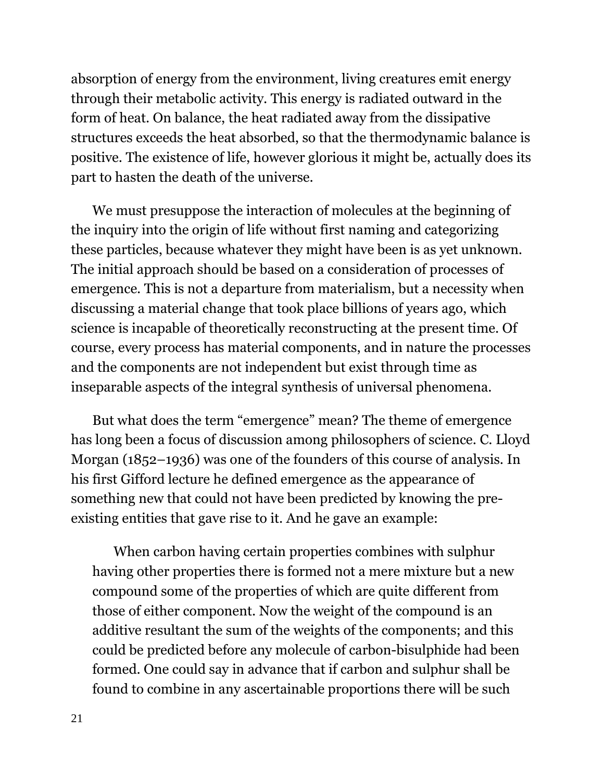absorption of energy from the environment, living creatures emit energy through their metabolic activity. This energy is radiated outward in the form of heat. On balance, the heat radiated away from the dissipative structures exceeds the heat absorbed, so that the thermodynamic balance is positive. The existence of life, however glorious it might be, actually does its part to hasten the death of the universe.

We must presuppose the interaction of molecules at the beginning of the inquiry into the origin of life without first naming and categorizing these particles, because whatever they might have been is as yet unknown. The initial approach should be based on a consideration of processes of emergence. This is not a departure from materialism, but a necessity when discussing a material change that took place billions of years ago, which science is incapable of theoretically reconstructing at the present time. Of course, every process has material components, and in nature the processes and the components are not independent but exist through time as inseparable aspects of the integral synthesis of universal phenomena.

But what does the term "emergence" mean? The theme of emergence has long been a focus of discussion among philosophers of science. C. Lloyd Morgan (1852–1936) was one of the founders of this course of analysis. In his first Gifford lecture he defined emergence as the appearance of something new that could not have been predicted by knowing the preexisting entities that gave rise to it. And he gave an example:

When carbon having certain properties combines with sulphur having other properties there is formed not a mere mixture but a new compound some of the properties of which are quite different from those of either component. Now the weight of the compound is an additive resultant the sum of the weights of the components; and this could be predicted before any molecule of carbon-bisulphide had been formed. One could say in advance that if carbon and sulphur shall be found to combine in any ascertainable proportions there will be such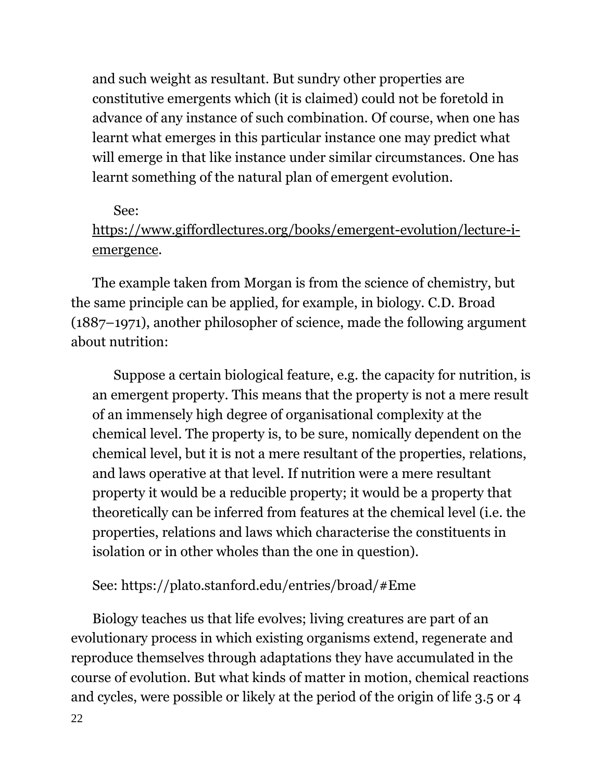and such weight as resultant. But sundry other properties are constitutive emergents which (it is claimed) could not be foretold in advance of any instance of such combination. Of course, when one has learnt what emerges in this particular instance one may predict what will emerge in that like instance under similar circumstances. One has learnt something of the natural plan of emergent evolution.

### See:

# [https://www.giffordlectures.org/books/emergent-evolution/lecture-i](https://www.giffordlectures.org/books/emergent-evolution/lecture-i-emergence)[emergence.](https://www.giffordlectures.org/books/emergent-evolution/lecture-i-emergence)

The example taken from Morgan is from the science of chemistry, but the same principle can be applied, for example, in biology. C.D. Broad (1887–1971), another philosopher of science, made the following argument about nutrition:

Suppose a certain biological feature, e.g. the capacity for nutrition, is an emergent property. This means that the property is not a mere result of an immensely high degree of organisational complexity at the chemical level. The property is, to be sure, nomically dependent on the chemical level, but it is not a mere resultant of the properties, relations, and laws operative at that level. If nutrition were a mere resultant property it would be a reducible property; it would be a property that theoretically can be inferred from features at the chemical level (i.e. the properties, relations and laws which characterise the constituents in isolation or in other wholes than the one in question).

# See: https://plato.stanford.edu/entries/broad/#Eme

Biology teaches us that life evolves; living creatures are part of an evolutionary process in which existing organisms extend, regenerate and reproduce themselves through adaptations they have accumulated in the course of evolution. But what kinds of matter in motion, chemical reactions and cycles, were possible or likely at the period of the origin of life 3.5 or 4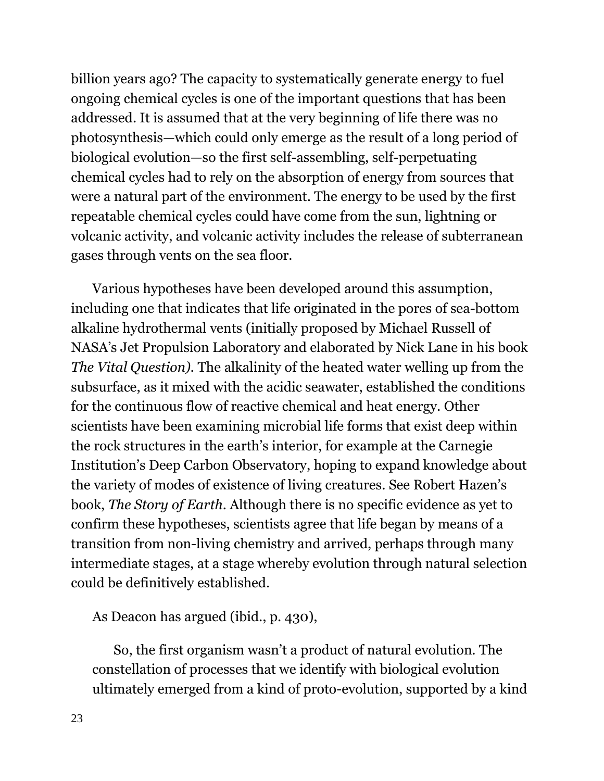billion years ago? The capacity to systematically generate energy to fuel ongoing chemical cycles is one of the important questions that has been addressed. It is assumed that at the very beginning of life there was no photosynthesis—which could only emerge as the result of a long period of biological evolution—so the first self-assembling, self-perpetuating chemical cycles had to rely on the absorption of energy from sources that were a natural part of the environment. The energy to be used by the first repeatable chemical cycles could have come from the sun, lightning or volcanic activity, and volcanic activity includes the release of subterranean gases through vents on the sea floor.

Various hypotheses have been developed around this assumption, including one that indicates that life originated in the pores of sea-bottom alkaline hydrothermal vents (initially proposed by Michael Russell of NASA's Jet Propulsion Laboratory and elaborated by Nick Lane in his book *The Vital Question).* The alkalinity of the heated water welling up from the subsurface, as it mixed with the acidic seawater, established the conditions for the continuous flow of reactive chemical and heat energy. Other scientists have been examining microbial life forms that exist deep within the rock structures in the earth's interior, for example at the Carnegie Institution's Deep Carbon Observatory, hoping to expand knowledge about the variety of modes of existence of living creatures. See Robert Hazen's book, *The Story of Earth*. Although there is no specific evidence as yet to confirm these hypotheses, scientists agree that life began by means of a transition from non-living chemistry and arrived, perhaps through many intermediate stages, at a stage whereby evolution through natural selection could be definitively established.

As Deacon has argued (ibid., p. 430),

So, the first organism wasn't a product of natural evolution. The constellation of processes that we identify with biological evolution ultimately emerged from a kind of proto-evolution, supported by a kind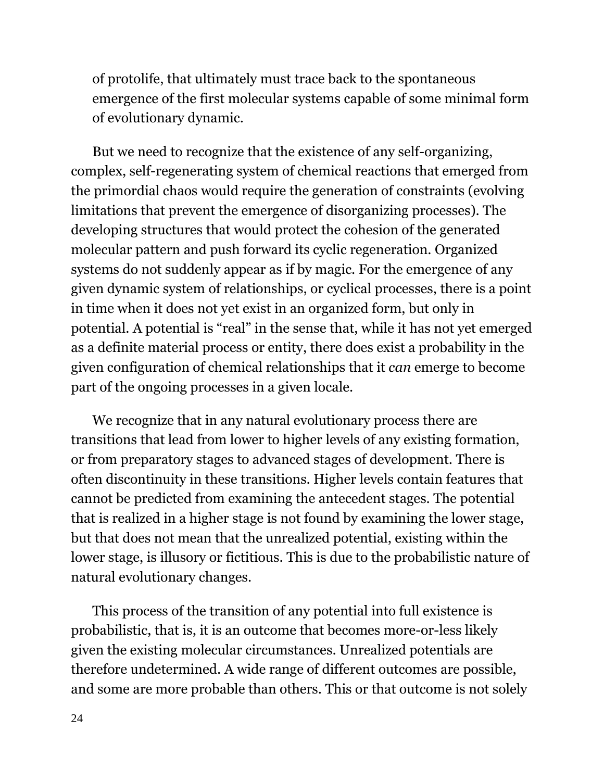of protolife, that ultimately must trace back to the spontaneous emergence of the first molecular systems capable of some minimal form of evolutionary dynamic.

But we need to recognize that the existence of any self-organizing, complex, self-regenerating system of chemical reactions that emerged from the primordial chaos would require the generation of constraints (evolving limitations that prevent the emergence of disorganizing processes). The developing structures that would protect the cohesion of the generated molecular pattern and push forward its cyclic regeneration. Organized systems do not suddenly appear as if by magic. For the emergence of any given dynamic system of relationships, or cyclical processes, there is a point in time when it does not yet exist in an organized form, but only in potential. A potential is "real" in the sense that, while it has not yet emerged as a definite material process or entity, there does exist a probability in the given configuration of chemical relationships that it *can* emerge to become part of the ongoing processes in a given locale.

We recognize that in any natural evolutionary process there are transitions that lead from lower to higher levels of any existing formation, or from preparatory stages to advanced stages of development. There is often discontinuity in these transitions. Higher levels contain features that cannot be predicted from examining the antecedent stages. The potential that is realized in a higher stage is not found by examining the lower stage, but that does not mean that the unrealized potential, existing within the lower stage, is illusory or fictitious. This is due to the probabilistic nature of natural evolutionary changes.

This process of the transition of any potential into full existence is probabilistic, that is, it is an outcome that becomes more-or-less likely given the existing molecular circumstances. Unrealized potentials are therefore undetermined. A wide range of different outcomes are possible, and some are more probable than others. This or that outcome is not solely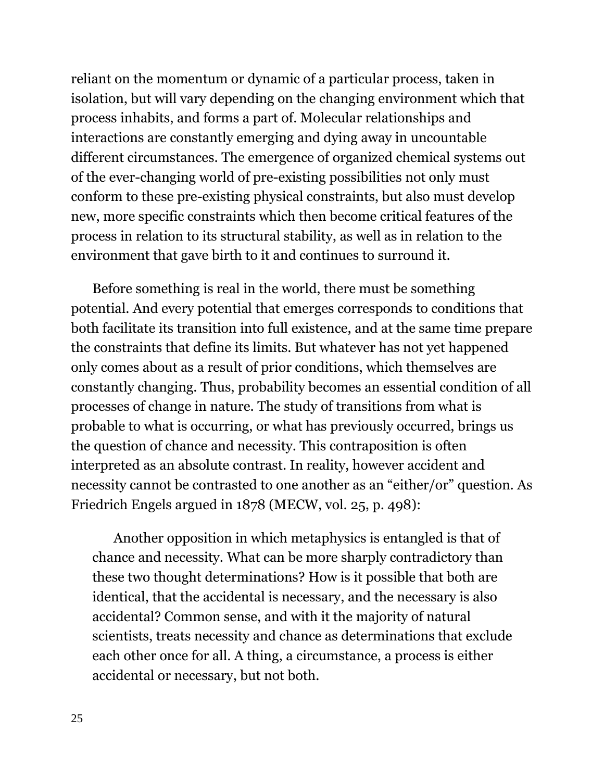reliant on the momentum or dynamic of a particular process, taken in isolation, but will vary depending on the changing environment which that process inhabits, and forms a part of. Molecular relationships and interactions are constantly emerging and dying away in uncountable different circumstances. The emergence of organized chemical systems out of the ever-changing world of pre-existing possibilities not only must conform to these pre-existing physical constraints, but also must develop new, more specific constraints which then become critical features of the process in relation to its structural stability, as well as in relation to the environment that gave birth to it and continues to surround it.

Before something is real in the world, there must be something potential. And every potential that emerges corresponds to conditions that both facilitate its transition into full existence, and at the same time prepare the constraints that define its limits. But whatever has not yet happened only comes about as a result of prior conditions, which themselves are constantly changing. Thus, probability becomes an essential condition of all processes of change in nature. The study of transitions from what is probable to what is occurring, or what has previously occurred, brings us the question of chance and necessity. This contraposition is often interpreted as an absolute contrast. In reality, however accident and necessity cannot be contrasted to one another as an "either/or" question. As Friedrich Engels argued in 1878 (MECW, vol. 25, p. 498):

Another opposition in which metaphysics is entangled is that of chance and necessity. What can be more sharply contradictory than these two thought determinations? How is it possible that both are identical, that the accidental is necessary, and the necessary is also accidental? Common sense, and with it the majority of natural scientists, treats necessity and chance as determinations that exclude each other once for all. A thing, a circumstance, a process is either accidental or necessary, but not both.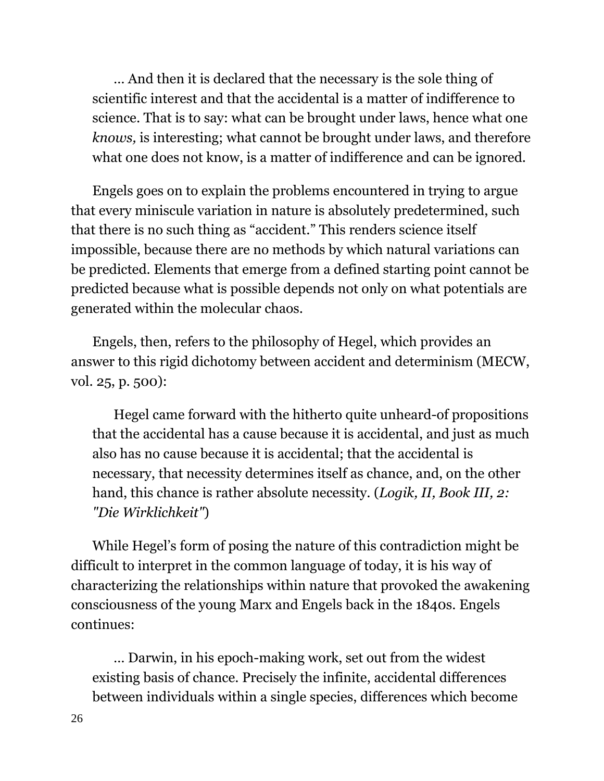… And then it is declared that the necessary is the sole thing of scientific interest and that the accidental is a matter of indifference to science. That is to say: what can be brought under laws, hence what one *knows,* is interesting; what cannot be brought under laws, and therefore what one does not know, is a matter of indifference and can be ignored.

Engels goes on to explain the problems encountered in trying to argue that every miniscule variation in nature is absolutely predetermined, such that there is no such thing as "accident." This renders science itself impossible, because there are no methods by which natural variations can be predicted. Elements that emerge from a defined starting point cannot be predicted because what is possible depends not only on what potentials are generated within the molecular chaos.

Engels, then, refers to the philosophy of Hegel, which provides an answer to this rigid dichotomy between accident and determinism (MECW, vol. 25, p. 500):

Hegel came forward with the hitherto quite unheard-of propositions that the accidental has a cause because it is accidental, and just as much also has no cause because it is accidental; that the accidental is necessary, that necessity determines itself as chance, and, on the other hand, this chance is rather absolute necessity. (*Logik, II, Book III, 2: "Die Wirklichkeit"*)

While Hegel's form of posing the nature of this contradiction might be difficult to interpret in the common language of today, it is his way of characterizing the relationships within nature that provoked the awakening consciousness of the young Marx and Engels back in the 1840s. Engels continues:

… Darwin, in his epoch-making work, set out from the widest existing basis of chance. Precisely the infinite, accidental differences between individuals within a single species, differences which become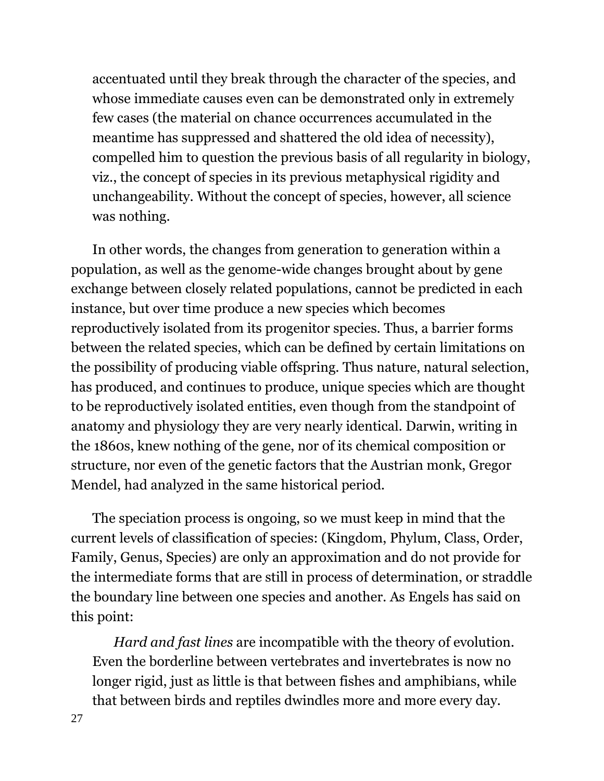accentuated until they break through the character of the species, and whose immediate causes even can be demonstrated only in extremely few cases (the material on chance occurrences accumulated in the meantime has suppressed and shattered the old idea of necessity), compelled him to question the previous basis of all regularity in biology, viz., the concept of species in its previous metaphysical rigidity and unchangeability. Without the concept of species, however, all science was nothing.

In other words, the changes from generation to generation within a population, as well as the genome-wide changes brought about by gene exchange between closely related populations, cannot be predicted in each instance, but over time produce a new species which becomes reproductively isolated from its progenitor species. Thus, a barrier forms between the related species, which can be defined by certain limitations on the possibility of producing viable offspring. Thus nature, natural selection, has produced, and continues to produce, unique species which are thought to be reproductively isolated entities, even though from the standpoint of anatomy and physiology they are very nearly identical. Darwin, writing in the 1860s, knew nothing of the gene, nor of its chemical composition or structure, nor even of the genetic factors that the Austrian monk, Gregor Mendel, had analyzed in the same historical period.

The speciation process is ongoing, so we must keep in mind that the current levels of classification of species: (Kingdom, Phylum, Class, Order, Family, Genus, Species) are only an approximation and do not provide for the intermediate forms that are still in process of determination, or straddle the boundary line between one species and another. As Engels has said on this point:

*Hard and fast lines* are incompatible with the theory of evolution. Even the borderline between vertebrates and invertebrates is now no longer rigid, just as little is that between fishes and amphibians, while that between birds and reptiles dwindles more and more every day.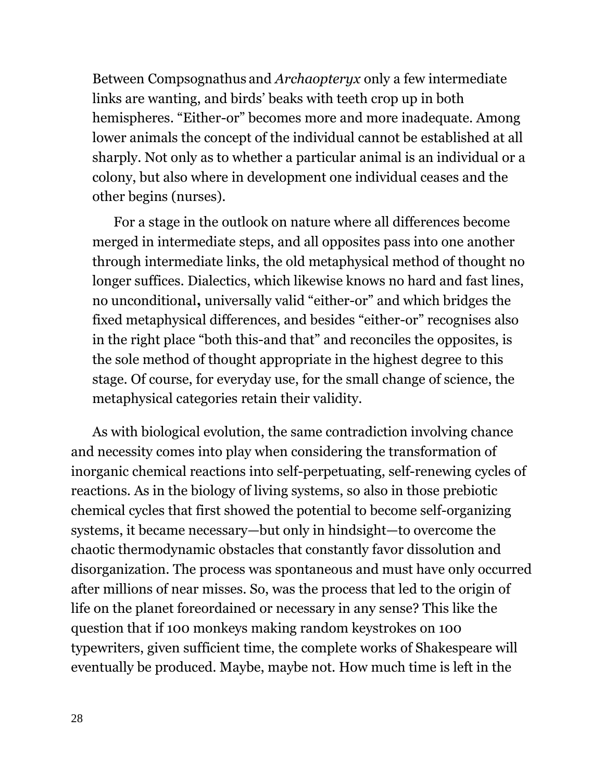Between Compsognathus and *Archaopteryx* only a few intermediate links are wanting, and birds' beaks with teeth crop up in both hemispheres. "Either-or" becomes more and more inadequate. Among lower animals the concept of the individual cannot be established at all sharply. Not only as to whether a particular animal is an individual or a colony, but also where in development one individual ceases and the other begins (nurses).

For a stage in the outlook on nature where all differences become merged in intermediate steps, and all opposites pass into one another through intermediate links, the old metaphysical method of thought no longer suffices. Dialectics, which likewise knows no hard and fast lines, no unconditional**,** universally valid "either-or" and which bridges the fixed metaphysical differences, and besides "either-or" recognises also in the right place "both this-and that" and reconciles the opposites, is the sole method of thought appropriate in the highest degree to this stage. Of course, for everyday use, for the small change of science, the metaphysical categories retain their validity.

As with biological evolution, the same contradiction involving chance and necessity comes into play when considering the transformation of inorganic chemical reactions into self-perpetuating, self-renewing cycles of reactions. As in the biology of living systems, so also in those prebiotic chemical cycles that first showed the potential to become self-organizing systems, it became necessary—but only in hindsight—to overcome the chaotic thermodynamic obstacles that constantly favor dissolution and disorganization. The process was spontaneous and must have only occurred after millions of near misses. So, was the process that led to the origin of life on the planet foreordained or necessary in any sense? This like the question that if 100 monkeys making random keystrokes on 100 typewriters, given sufficient time, the complete works of Shakespeare will eventually be produced. Maybe, maybe not. How much time is left in the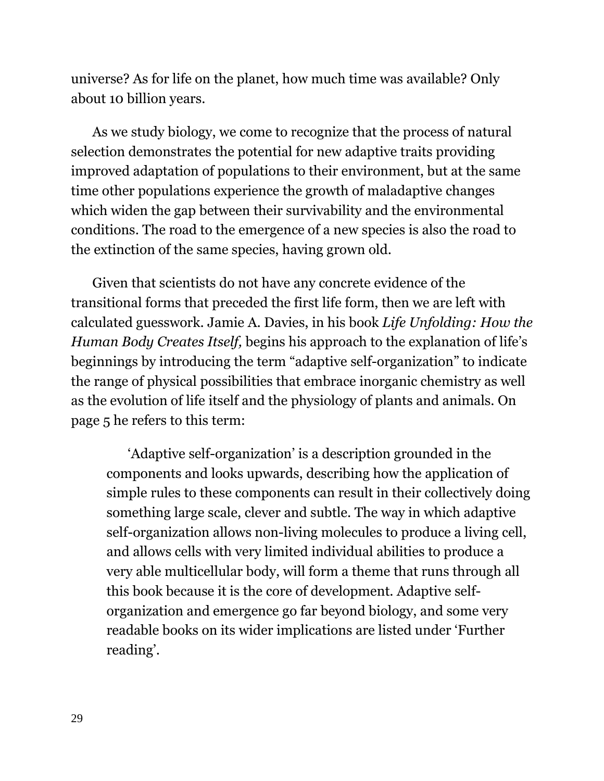universe? As for life on the planet, how much time was available? Only about 10 billion years.

As we study biology, we come to recognize that the process of natural selection demonstrates the potential for new adaptive traits providing improved adaptation of populations to their environment, but at the same time other populations experience the growth of maladaptive changes which widen the gap between their survivability and the environmental conditions. The road to the emergence of a new species is also the road to the extinction of the same species, having grown old.

Given that scientists do not have any concrete evidence of the transitional forms that preceded the first life form, then we are left with calculated guesswork. Jamie A. Davies, in his book *Life Unfolding: How the Human Body Creates Itself,* begins his approach to the explanation of life's beginnings by introducing the term "adaptive self-organization" to indicate the range of physical possibilities that embrace inorganic chemistry as well as the evolution of life itself and the physiology of plants and animals. On page 5 he refers to this term:

'Adaptive self-organization' is a description grounded in the components and looks upwards, describing how the application of simple rules to these components can result in their collectively doing something large scale, clever and subtle. The way in which adaptive self-organization allows non-living molecules to produce a living cell, and allows cells with very limited individual abilities to produce a very able multicellular body, will form a theme that runs through all this book because it is the core of development. Adaptive selforganization and emergence go far beyond biology, and some very readable books on its wider implications are listed under 'Further reading'.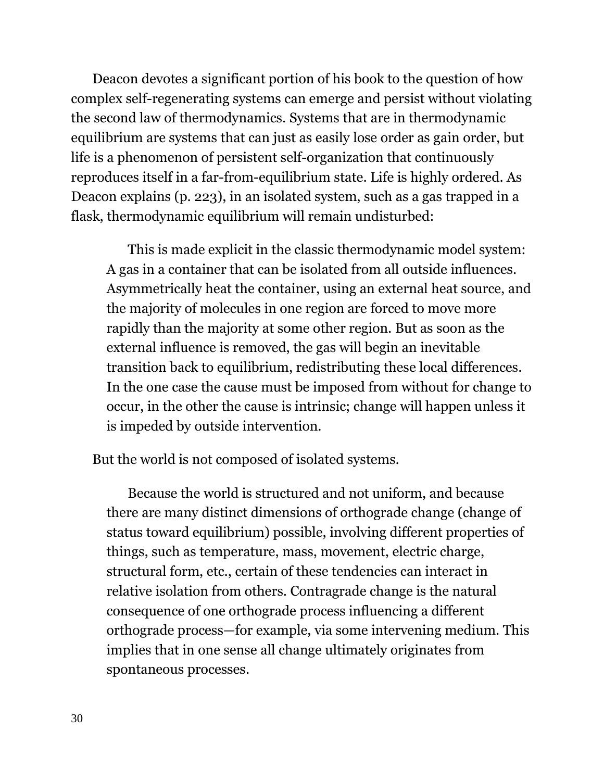Deacon devotes a significant portion of his book to the question of how complex self-regenerating systems can emerge and persist without violating the second law of thermodynamics. Systems that are in thermodynamic equilibrium are systems that can just as easily lose order as gain order, but life is a phenomenon of persistent self-organization that continuously reproduces itself in a far-from-equilibrium state. Life is highly ordered. As Deacon explains (p. 223), in an isolated system, such as a gas trapped in a flask, thermodynamic equilibrium will remain undisturbed:

This is made explicit in the classic thermodynamic model system: A gas in a container that can be isolated from all outside influences. Asymmetrically heat the container, using an external heat source, and the majority of molecules in one region are forced to move more rapidly than the majority at some other region. But as soon as the external influence is removed, the gas will begin an inevitable transition back to equilibrium, redistributing these local differences. In the one case the cause must be imposed from without for change to occur, in the other the cause is intrinsic; change will happen unless it is impeded by outside intervention.

But the world is not composed of isolated systems.

Because the world is structured and not uniform, and because there are many distinct dimensions of orthograde change (change of status toward equilibrium) possible, involving different properties of things, such as temperature, mass, movement, electric charge, structural form, etc., certain of these tendencies can interact in relative isolation from others. Contragrade change is the natural consequence of one orthograde process influencing a different orthograde process—for example, via some intervening medium. This implies that in one sense all change ultimately originates from spontaneous processes.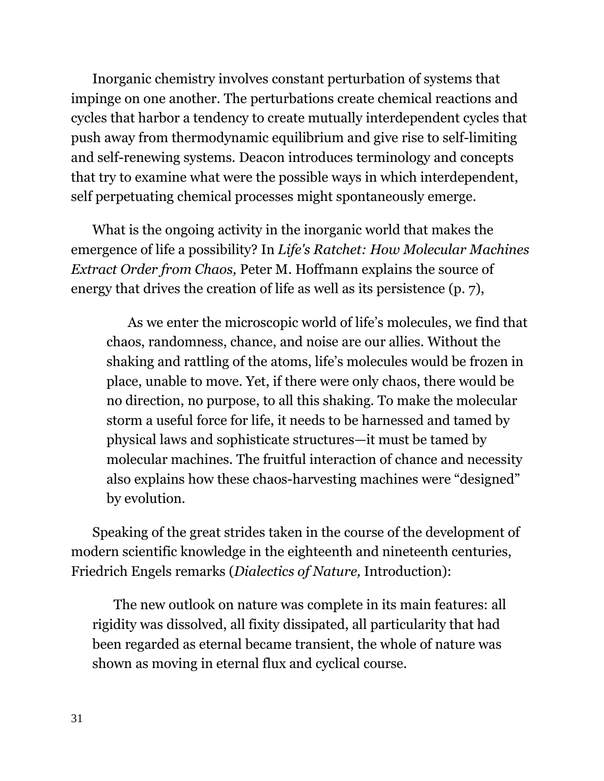Inorganic chemistry involves constant perturbation of systems that impinge on one another. The perturbations create chemical reactions and cycles that harbor a tendency to create mutually interdependent cycles that push away from thermodynamic equilibrium and give rise to self-limiting and self-renewing systems. Deacon introduces terminology and concepts that try to examine what were the possible ways in which interdependent, self perpetuating chemical processes might spontaneously emerge.

What is the ongoing activity in the inorganic world that makes the emergence of life a possibility? In *Life's Ratchet: How Molecular Machines Extract Order from Chaos,* Peter M. Hoffmann explains the source of energy that drives the creation of life as well as its persistence (p. 7),

As we enter the microscopic world of life's molecules, we find that chaos, randomness, chance, and noise are our allies. Without the shaking and rattling of the atoms, life's molecules would be frozen in place, unable to move. Yet, if there were only chaos, there would be no direction, no purpose, to all this shaking. To make the molecular storm a useful force for life, it needs to be harnessed and tamed by physical laws and sophisticate structures—it must be tamed by molecular machines. The fruitful interaction of chance and necessity also explains how these chaos-harvesting machines were "designed" by evolution.

Speaking of the great strides taken in the course of the development of modern scientific knowledge in the eighteenth and nineteenth centuries, Friedrich Engels remarks (*Dialectics of Nature,* Introduction):

The new outlook on nature was complete in its main features: all rigidity was dissolved, all fixity dissipated, all particularity that had been regarded as eternal became transient, the whole of nature was shown as moving in eternal flux and cyclical course.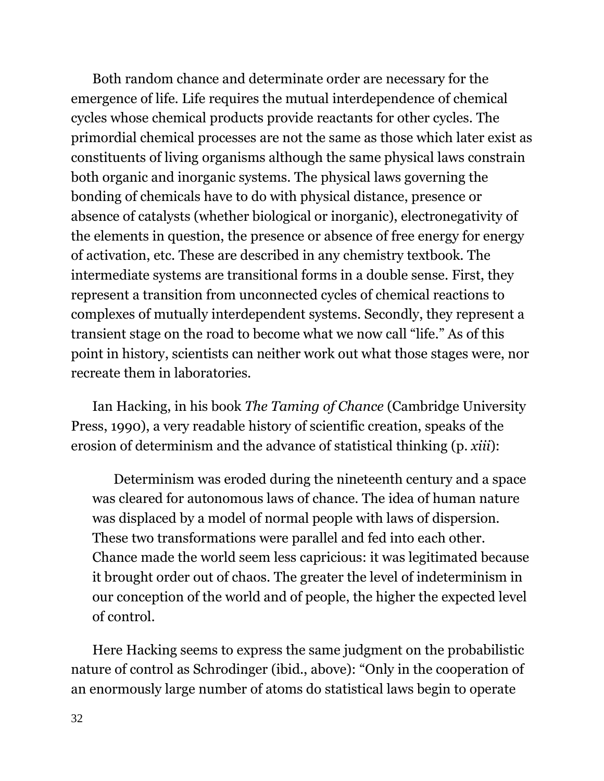Both random chance and determinate order are necessary for the emergence of life. Life requires the mutual interdependence of chemical cycles whose chemical products provide reactants for other cycles. The primordial chemical processes are not the same as those which later exist as constituents of living organisms although the same physical laws constrain both organic and inorganic systems. The physical laws governing the bonding of chemicals have to do with physical distance, presence or absence of catalysts (whether biological or inorganic), electronegativity of the elements in question, the presence or absence of free energy for energy of activation, etc. These are described in any chemistry textbook. The intermediate systems are transitional forms in a double sense. First, they represent a transition from unconnected cycles of chemical reactions to complexes of mutually interdependent systems. Secondly, they represent a transient stage on the road to become what we now call "life." As of this point in history, scientists can neither work out what those stages were, nor recreate them in laboratories.

Ian Hacking, in his book *The Taming of Chance* (Cambridge University Press, 1990), a very readable history of scientific creation, speaks of the erosion of determinism and the advance of statistical thinking (p. *xiii*):

Determinism was eroded during the nineteenth century and a space was cleared for autonomous laws of chance. The idea of human nature was displaced by a model of normal people with laws of dispersion. These two transformations were parallel and fed into each other. Chance made the world seem less capricious: it was legitimated because it brought order out of chaos. The greater the level of indeterminism in our conception of the world and of people, the higher the expected level of control.

Here Hacking seems to express the same judgment on the probabilistic nature of control as Schrodinger (ibid., above): "Only in the cooperation of an enormously large number of atoms do statistical laws begin to operate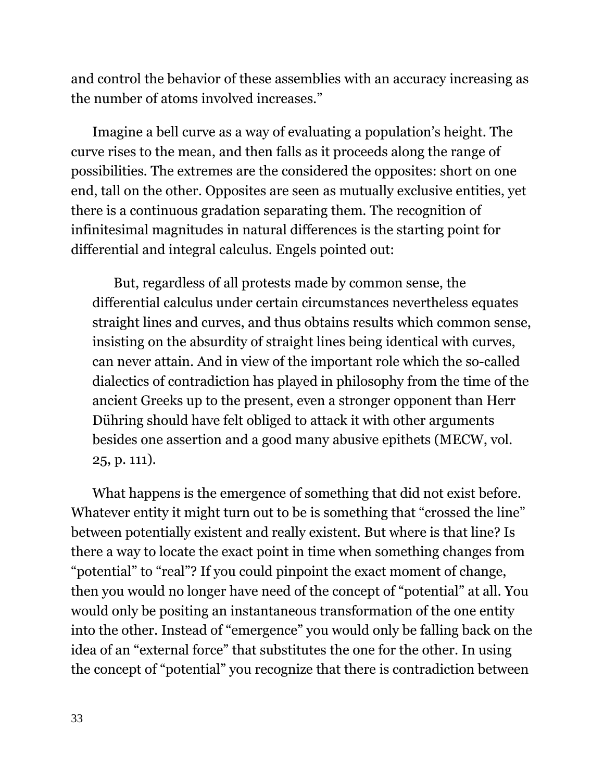and control the behavior of these assemblies with an accuracy increasing as the number of atoms involved increases."

Imagine a bell curve as a way of evaluating a population's height. The curve rises to the mean, and then falls as it proceeds along the range of possibilities. The extremes are the considered the opposites: short on one end, tall on the other. Opposites are seen as mutually exclusive entities, yet there is a continuous gradation separating them. The recognition of infinitesimal magnitudes in natural differences is the starting point for differential and integral calculus. Engels pointed out:

But, regardless of all protests made by common sense, the differential calculus under certain circumstances nevertheless equates straight lines and curves, and thus obtains results which common sense, insisting on the absurdity of straight lines being identical with curves, can never attain. And in view of the important role which the so-called dialectics of contradiction has played in philosophy from the time of the ancient Greeks up to the present, even a stronger opponent than Herr Dühring should have felt obliged to attack it with other arguments besides one assertion and a good many abusive epithets (MECW, vol. 25, p. 111).

What happens is the emergence of something that did not exist before. Whatever entity it might turn out to be is something that "crossed the line" between potentially existent and really existent. But where is that line? Is there a way to locate the exact point in time when something changes from "potential" to "real"? If you could pinpoint the exact moment of change, then you would no longer have need of the concept of "potential" at all. You would only be positing an instantaneous transformation of the one entity into the other. Instead of "emergence" you would only be falling back on the idea of an "external force" that substitutes the one for the other. In using the concept of "potential" you recognize that there is contradiction between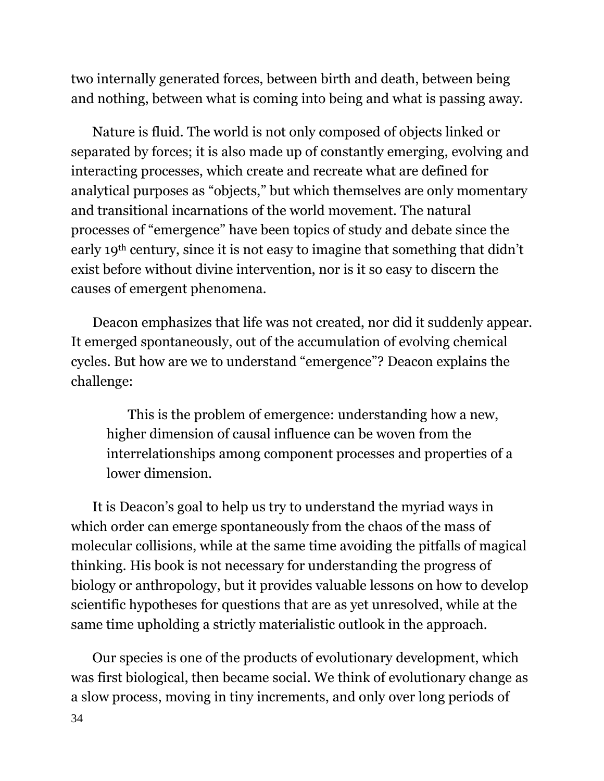two internally generated forces, between birth and death, between being and nothing, between what is coming into being and what is passing away.

Nature is fluid. The world is not only composed of objects linked or separated by forces; it is also made up of constantly emerging, evolving and interacting processes, which create and recreate what are defined for analytical purposes as "objects," but which themselves are only momentary and transitional incarnations of the world movement. The natural processes of "emergence" have been topics of study and debate since the early 19th century, since it is not easy to imagine that something that didn't exist before without divine intervention, nor is it so easy to discern the causes of emergent phenomena.

Deacon emphasizes that life was not created, nor did it suddenly appear. It emerged spontaneously, out of the accumulation of evolving chemical cycles. But how are we to understand "emergence"? Deacon explains the challenge:

This is the problem of emergence: understanding how a new, higher dimension of causal influence can be woven from the interrelationships among component processes and properties of a lower dimension.

It is Deacon's goal to help us try to understand the myriad ways in which order can emerge spontaneously from the chaos of the mass of molecular collisions, while at the same time avoiding the pitfalls of magical thinking. His book is not necessary for understanding the progress of biology or anthropology, but it provides valuable lessons on how to develop scientific hypotheses for questions that are as yet unresolved, while at the same time upholding a strictly materialistic outlook in the approach.

34 Our species is one of the products of evolutionary development, which was first biological, then became social. We think of evolutionary change as a slow process, moving in tiny increments, and only over long periods of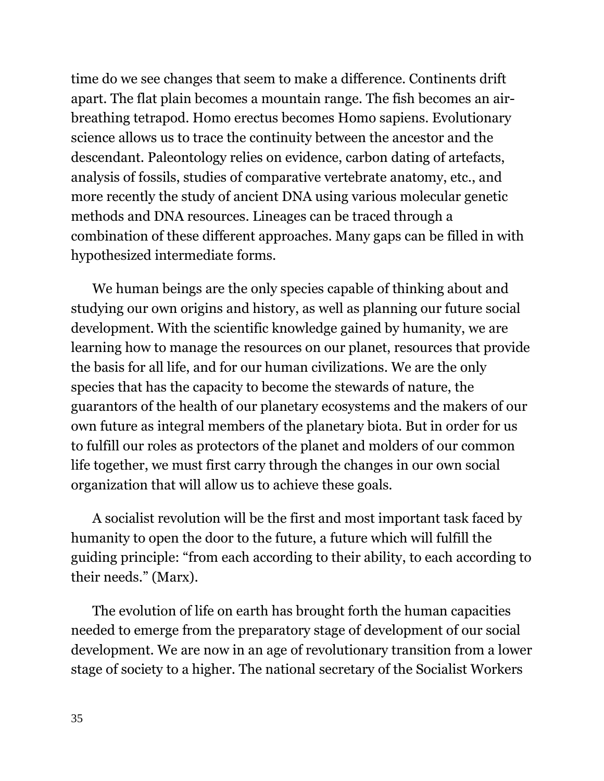time do we see changes that seem to make a difference. Continents drift apart. The flat plain becomes a mountain range. The fish becomes an airbreathing tetrapod. Homo erectus becomes Homo sapiens. Evolutionary science allows us to trace the continuity between the ancestor and the descendant. Paleontology relies on evidence, carbon dating of artefacts, analysis of fossils, studies of comparative vertebrate anatomy, etc., and more recently the study of ancient DNA using various molecular genetic methods and DNA resources. Lineages can be traced through a combination of these different approaches. Many gaps can be filled in with hypothesized intermediate forms.

We human beings are the only species capable of thinking about and studying our own origins and history, as well as planning our future social development. With the scientific knowledge gained by humanity, we are learning how to manage the resources on our planet, resources that provide the basis for all life, and for our human civilizations. We are the only species that has the capacity to become the stewards of nature, the guarantors of the health of our planetary ecosystems and the makers of our own future as integral members of the planetary biota. But in order for us to fulfill our roles as protectors of the planet and molders of our common life together, we must first carry through the changes in our own social organization that will allow us to achieve these goals.

A socialist revolution will be the first and most important task faced by humanity to open the door to the future, a future which will fulfill the guiding principle: "from each according to their ability, to each according to their needs." (Marx).

The evolution of life on earth has brought forth the human capacities needed to emerge from the preparatory stage of development of our social development. We are now in an age of revolutionary transition from a lower stage of society to a higher. The national secretary of the Socialist Workers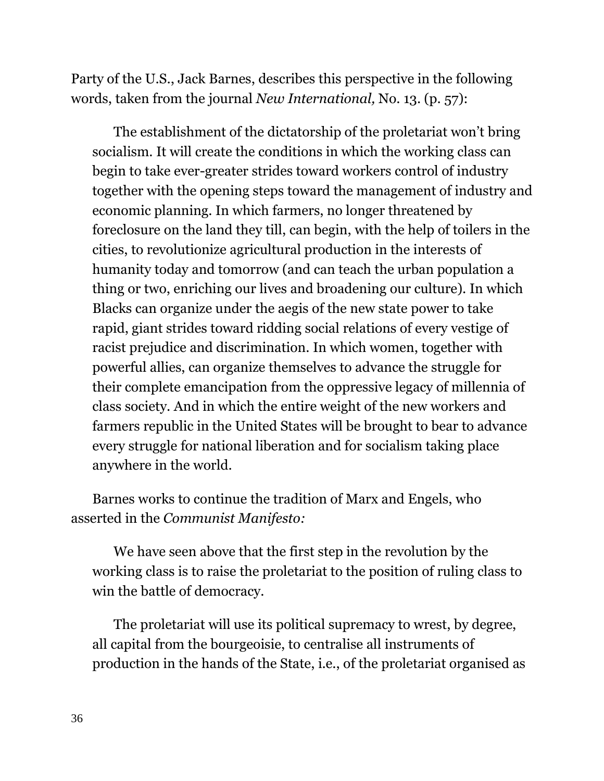Party of the U.S., Jack Barnes, describes this perspective in the following words, taken from the journal *New International,* No. 13. (p. 57):

The establishment of the dictatorship of the proletariat won't bring socialism. It will create the conditions in which the working class can begin to take ever-greater strides toward workers control of industry together with the opening steps toward the management of industry and economic planning. In which farmers, no longer threatened by foreclosure on the land they till, can begin, with the help of toilers in the cities, to revolutionize agricultural production in the interests of humanity today and tomorrow (and can teach the urban population a thing or two, enriching our lives and broadening our culture). In which Blacks can organize under the aegis of the new state power to take rapid, giant strides toward ridding social relations of every vestige of racist prejudice and discrimination. In which women, together with powerful allies, can organize themselves to advance the struggle for their complete emancipation from the oppressive legacy of millennia of class society. And in which the entire weight of the new workers and farmers republic in the United States will be brought to bear to advance every struggle for national liberation and for socialism taking place anywhere in the world.

Barnes works to continue the tradition of Marx and Engels, who asserted in the *Communist Manifesto:*

We have seen above that the first step in the revolution by the working class is to raise the proletariat to the position of ruling class to win the battle of democracy.

The proletariat will use its political supremacy to wrest, by degree, all capital from the bourgeoisie, to centralise all instruments of production in the hands of the State, i.e., of the proletariat organised as